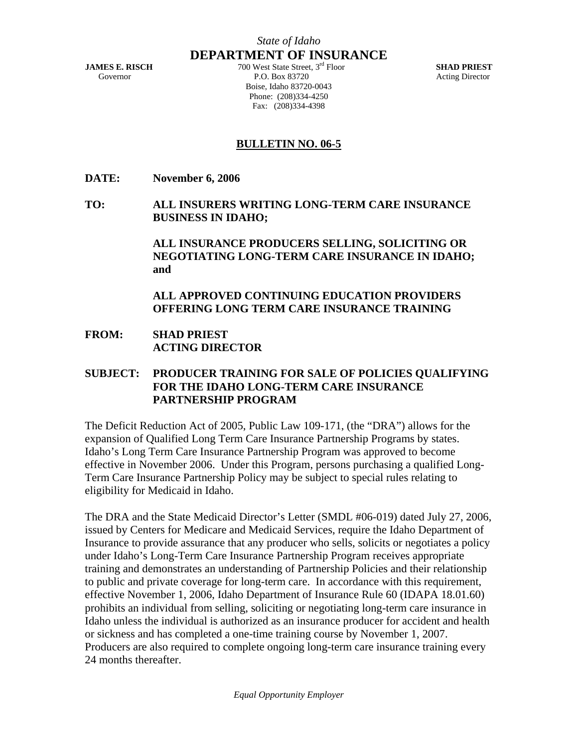**DEPARTMENT OF INSURANCE** 

**JAMES E. RISCH** 700 West State Street, 3rd Floor **SHAD PRIEST**  Governor **P.O. Box 83720** Acting Director Boise, Idaho 83720-0043 Phone: (208)334-4250 Fax: (208)334-4398

## **BULLETIN NO. 06-5**

**DATE: November 6, 2006** 

**TO: ALL INSURERS WRITING LONG-TERM CARE INSURANCE BUSINESS IN IDAHO;** 

> **ALL INSURANCE PRODUCERS SELLING, SOLICITING OR NEGOTIATING LONG-TERM CARE INSURANCE IN IDAHO; and**

 **ALL APPROVED CONTINUING EDUCATION PROVIDERS OFFERING LONG TERM CARE INSURANCE TRAINING** 

**FROM: SHAD PRIEST ACTING DIRECTOR** 

## **SUBJECT: PRODUCER TRAINING FOR SALE OF POLICIES QUALIFYING FOR THE IDAHO LONG-TERM CARE INSURANCE PARTNERSHIP PROGRAM**

The Deficit Reduction Act of 2005, Public Law 109-171, (the "DRA") allows for the expansion of Qualified Long Term Care Insurance Partnership Programs by states. Idaho's Long Term Care Insurance Partnership Program was approved to become effective in November 2006. Under this Program, persons purchasing a qualified Long-Term Care Insurance Partnership Policy may be subject to special rules relating to eligibility for Medicaid in Idaho.

The DRA and the State Medicaid Director's Letter (SMDL #06-019) dated July 27, 2006, issued by Centers for Medicare and Medicaid Services, require the Idaho Department of Insurance to provide assurance that any producer who sells, solicits or negotiates a policy under Idaho's Long-Term Care Insurance Partnership Program receives appropriate training and demonstrates an understanding of Partnership Policies and their relationship to public and private coverage for long-term care. In accordance with this requirement, effective November 1, 2006, Idaho Department of Insurance Rule 60 (IDAPA 18.01.60) prohibits an individual from selling, soliciting or negotiating long-term care insurance in Idaho unless the individual is authorized as an insurance producer for accident and health or sickness and has completed a one-time training course by November 1, 2007. Producers are also required to complete ongoing long-term care insurance training every 24 months thereafter.